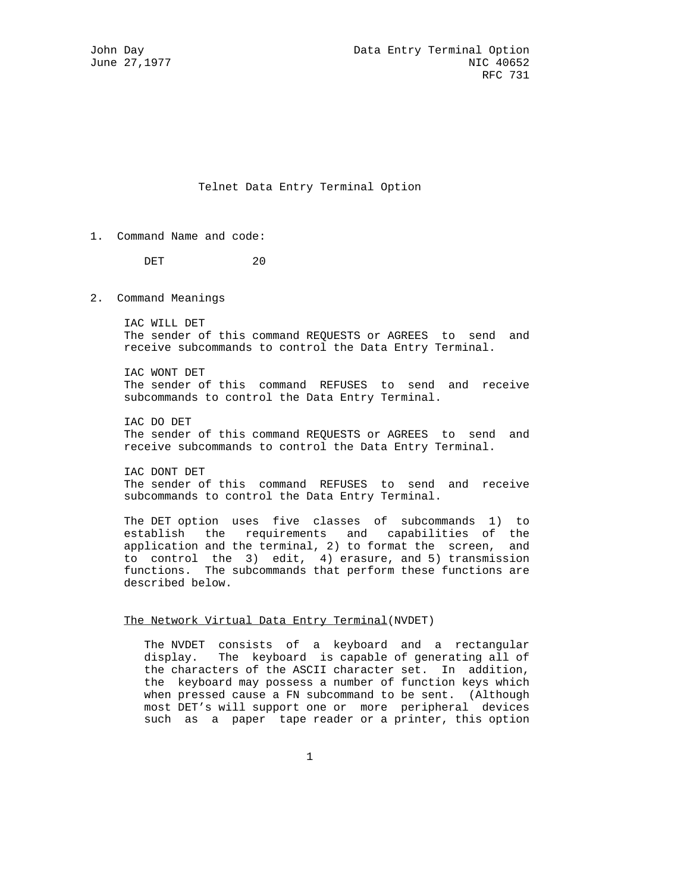# Telnet Data Entry Terminal Option

1. Command Name and code:

DET 20

2. Command Meanings

 IAC WILL DET The sender of this command REQUESTS or AGREES to send and receive subcommands to control the Data Entry Terminal.

 IAC WONT DET The sender of this command REFUSES to send and receive subcommands to control the Data Entry Terminal.

 IAC DO DET The sender of this command REQUESTS or AGREES to send and receive subcommands to control the Data Entry Terminal.

 IAC DONT DET The sender of this command REFUSES to send and receive subcommands to control the Data Entry Terminal.

 The DET option uses five classes of subcommands 1) to establish the requirements and capabilities of the application and the terminal, 2) to format the screen, and to control the 3) edit, 4) erasure, and 5) transmission functions. The subcommands that perform these functions are described below.

### The Network Virtual Data Entry Terminal(NVDET)

 The NVDET consists of a keyboard and a rectangular display. The keyboard is capable of generating all of the characters of the ASCII character set. In addition, the keyboard may possess a number of function keys which when pressed cause a FN subcommand to be sent. (Although most DET's will support one or more peripheral devices such as a paper tape reader or a printer, this option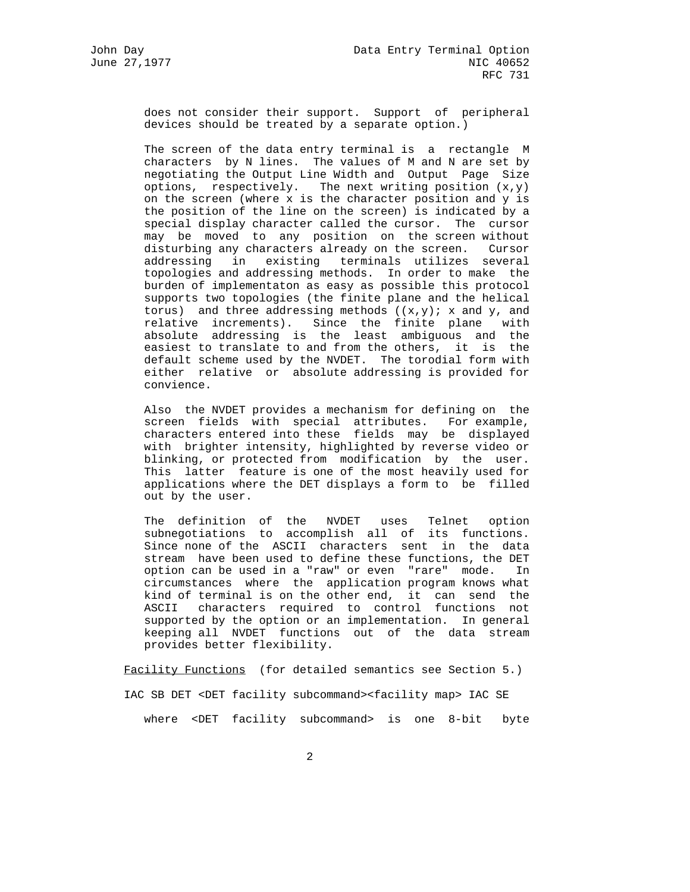does not consider their support. Support of peripheral devices should be treated by a separate option.)

 The screen of the data entry terminal is a rectangle M characters by N lines. The values of M and N are set by negotiating the Output Line Width and Output Page Size options, respectively. The next writing position  $(x,y)$  on the screen (where x is the character position and y is the position of the line on the screen) is indicated by a special display character called the cursor. The cursor may be moved to any position on the screen without disturbing any characters already on the screen. Cursor addressing in existing terminals utilizes several topologies and addressing methods. In order to make the burden of implementaton as easy as possible this protocol supports two topologies (the finite plane and the helical torus) and three addressing methods  $((x,y))$ ; x and y, and relative increments). Since the finite plane with absolute addressing is the least ambiguous and the easiest to translate to and from the others, it is the default scheme used by the NVDET. The torodial form with either relative or absolute addressing is provided for convience.

 Also the NVDET provides a mechanism for defining on the screen fields with special attributes. For example, characters entered into these fields may be displayed with brighter intensity, highlighted by reverse video or blinking, or protected from modification by the user. This latter feature is one of the most heavily used for applications where the DET displays a form to be filled out by the user.

> The definition of the NVDET uses Telnet option subnegotiations to accomplish all of its functions. Since none of the ASCII characters sent in the data stream have been used to define these functions, the DET option can be used in a "raw" or even "rare" mode. In circumstances where the application program knows what kind of terminal is on the other end, it can send the ASCII characters required to control functions not supported by the option or an implementation. In general keeping all NVDET functions out of the data stream provides better flexibility.

Facility Functions (for detailed semantics see Section 5.) IAC SB DET <DET facility subcommand><facility map> IAC SE

where <DET facility subcommand> is one 8-bit byte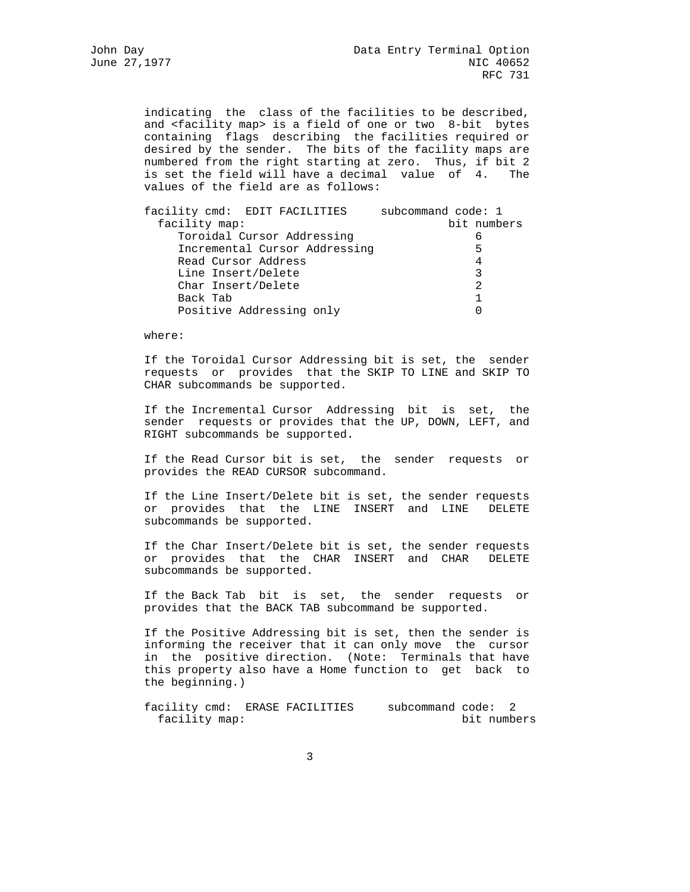indicating the class of the facilities to be described, and <facility map> is a field of one or two 8-bit bytes containing flags describing the facilities required or desired by the sender. The bits of the facility maps are numbered from the right starting at zero. Thus, if bit 2 is set the field will have a decimal value of 4. The values of the field are as follows:

| facility cmd: EDIT FACILITIES | subcommand code: 1 |
|-------------------------------|--------------------|
| facility map:                 | bit numbers        |
| Toroidal Cursor Addressing    | 6                  |
| Incremental Cursor Addressing | 5                  |
| Read Cursor Address           | 4                  |
| Line Insert/Delete            | 3                  |
| Char Insert/Delete            | 2                  |
| Back Tab                      |                    |
| Positive Addressing only      |                    |
|                               |                    |

where:

 If the Toroidal Cursor Addressing bit is set, the sender requests or provides that the SKIP TO LINE and SKIP TO CHAR subcommands be supported.

 If the Incremental Cursor Addressing bit is set, the sender requests or provides that the UP, DOWN, LEFT, and RIGHT subcommands be supported.

 If the Read Cursor bit is set, the sender requests or provides the READ CURSOR subcommand.

 If the Line Insert/Delete bit is set, the sender requests or provides that the LINE INSERT and LINE DELETE subcommands be supported.

 If the Char Insert/Delete bit is set, the sender requests or provides that the CHAR INSERT and CHAR DELETE subcommands be supported.

 If the Back Tab bit is set, the sender requests or provides that the BACK TAB subcommand be supported.

 If the Positive Addressing bit is set, then the sender is informing the receiver that it can only move the cursor in the positive direction. (Note: Terminals that have this property also have a Home function to get back to the beginning.)

facility cmd: ERASE FACILITIES subcommand code: 2 facility map: bit numbers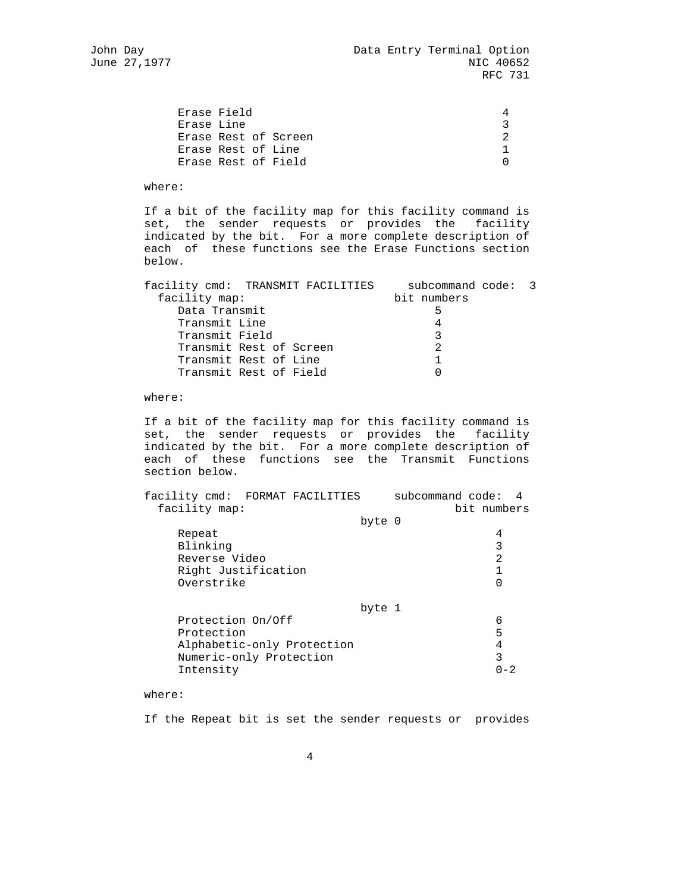|                           | 4                                                                 |
|---------------------------|-------------------------------------------------------------------|
|                           |                                                                   |
|                           |                                                                   |
|                           |                                                                   |
|                           |                                                                   |
| Erase Field<br>Erase Line | Erase Rest of Screen<br>Erase Rest of Line<br>Erase Rest of Field |

where:

 If a bit of the facility map for this facility command is set, the sender requests or provides the facility indicated by the bit. For a more complete description of each of these functions see the Erase Functions section below.

| subcommand code: 3 |
|--------------------|
| bit numbers        |
|                    |
|                    |
|                    |
|                    |
|                    |
|                    |
| 5                  |

where:

 If a bit of the facility map for this facility command is set, the sender requests or provides the facility indicated by the bit. For a more complete description of each of these functions see the Transmit Functions section below.

| facility cmd: FORMAT FACILITIES<br>facility map: |        | subcommand code: 4<br>bit numbers |         |
|--------------------------------------------------|--------|-----------------------------------|---------|
|                                                  | byte 0 |                                   |         |
| Repeat                                           |        | 4                                 |         |
| Blinking                                         |        | 3                                 |         |
| Reverse Video                                    |        | $\overline{2}$                    |         |
| Right Justification                              |        |                                   |         |
| Overstrike                                       |        |                                   |         |
|                                                  | byte 1 |                                   |         |
| Protection On/Off                                |        | 6                                 |         |
| Protection                                       |        | 5                                 |         |
| Alphabetic-only Protection                       |        | 4                                 |         |
| Numeric-only Protection                          |        | 3                                 |         |
| Intensity                                        |        |                                   | $0 - 2$ |

where:

If the Repeat bit is set the sender requests or provides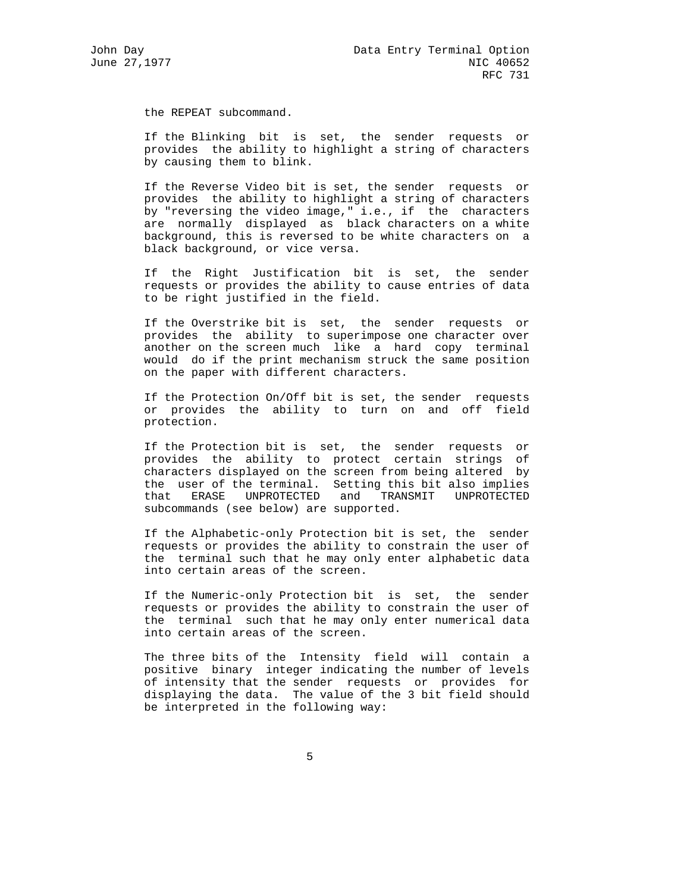the REPEAT subcommand.

 If the Blinking bit is set, the sender requests or provides the ability to highlight a string of characters by causing them to blink.

 If the Reverse Video bit is set, the sender requests or provides the ability to highlight a string of characters by "reversing the video image," i.e., if the characters are normally displayed as black characters on a white background, this is reversed to be white characters on a black background, or vice versa.

 If the Right Justification bit is set, the sender requests or provides the ability to cause entries of data to be right justified in the field.

 If the Overstrike bit is set, the sender requests or provides the ability to superimpose one character over another on the screen much like a hard copy terminal would do if the print mechanism struck the same position on the paper with different characters.

 If the Protection On/Off bit is set, the sender requests or provides the ability to turn on and off field protection.

 If the Protection bit is set, the sender requests or provides the ability to protect certain strings of characters displayed on the screen from being altered by the user of the terminal. Setting this bit also implies that ERASE UNPROTECTED and TRANSMIT UNPROTECTED subcommands (see below) are supported.

 If the Alphabetic-only Protection bit is set, the sender requests or provides the ability to constrain the user of the terminal such that he may only enter alphabetic data into certain areas of the screen.

 If the Numeric-only Protection bit is set, the sender requests or provides the ability to constrain the user of the terminal such that he may only enter numerical data into certain areas of the screen.

 The three bits of the Intensity field will contain a positive binary integer indicating the number of levels of intensity that the sender requests or provides for displaying the data. The value of the 3 bit field should be interpreted in the following way: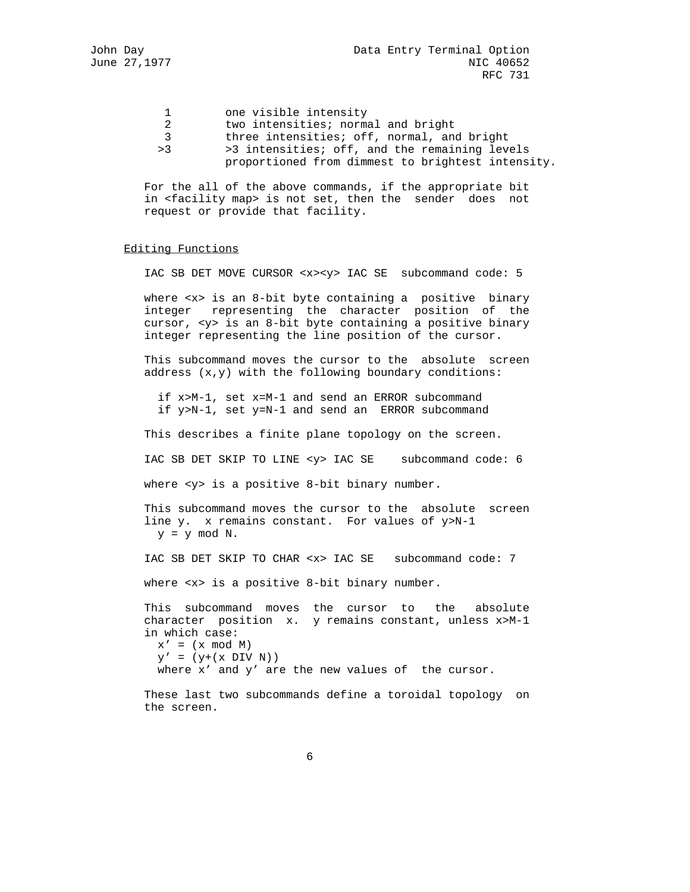- 1 one visible intensity 2 two intensities; normal and bright 3 three intensities; off, normal, and bright
- >3 >3 intensities; off, and the remaining levels proportioned from dimmest to brightest intensity.

 For the all of the above commands, if the appropriate bit in <facility map> is not set, then the sender does not request or provide that facility.

### Editing Functions

IAC SB DET MOVE CURSOR <x><y> IAC SE subcommand code: 5

where <x> is an 8-bit byte containing a positive binary integer representing the character position of the cursor, <y> is an 8-bit byte containing a positive binary integer representing the line position of the cursor.

 This subcommand moves the cursor to the absolute screen address (x,y) with the following boundary conditions:

 if x>M-1, set x=M-1 and send an ERROR subcommand if y>N-1, set y=N-1 and send an ERROR subcommand

This describes a finite plane topology on the screen.

IAC SB DET SKIP TO LINE <y> IAC SE subcommand code: 6

where <y> is a positive 8-bit binary number.

 This subcommand moves the cursor to the absolute screen line y. x remains constant. For values of y>N-1  $y = y \mod N$ .

IAC SB DET SKIP TO CHAR <x> IAC SE subcommand code: 7

where <x> is a positive 8-bit binary number.

 This subcommand moves the cursor to the absolute character position x. y remains constant, unless x>M-1 in which case:  $x' = (x \mod M)$ 

 $\mathbf{y}'$  = ( $\mathbf{y} + (\mathbf{x} \text{ DIV } \mathbf{N})$ ) where x' and y' are the new values of the cursor.

 These last two subcommands define a toroidal topology on the screen.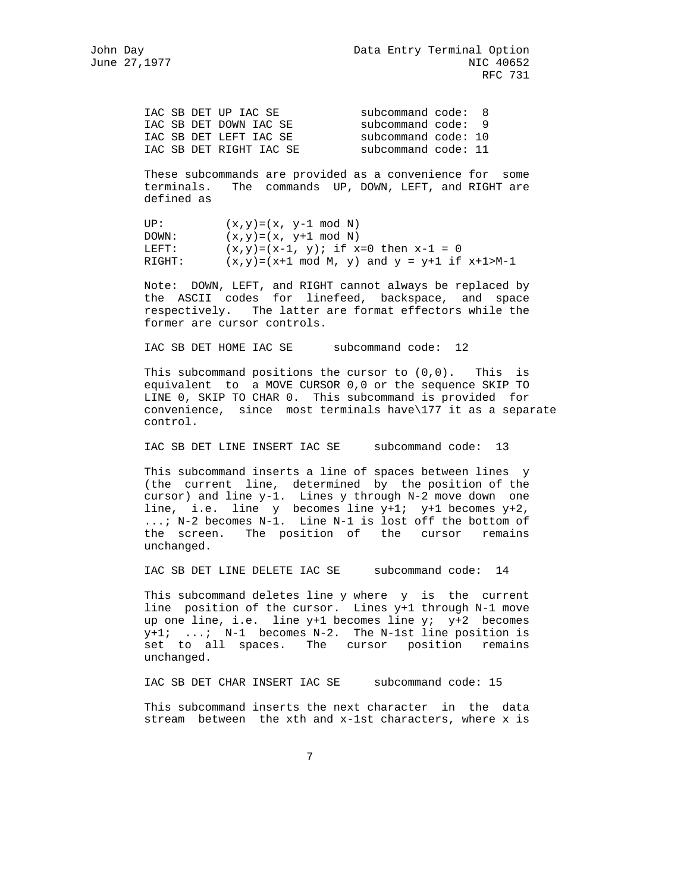| IAC SB DET UP IAC SE    | subcommand code: 8  |  |
|-------------------------|---------------------|--|
| IAC SB DET DOWN IAC SE  | subcommand code: 9  |  |
| IAC SB DET LEFT IAC SE  | subcommand code: 10 |  |
| IAC SB DET RIGHT IAC SE | subcommand code: 11 |  |

 These subcommands are provided as a convenience for some terminals. The commands UP, DOWN, LEFT, and RIGHT are defined as

UP:  $(x,y)=(x, y-1 \mod N)$  $DOWN:$   $(x,y)=(x, y+1 \mod N)$ LEFT:  $(x,y)=(x-1, y)$ ; if  $x=0$  then  $x-1 = 0$ RIGHT:  $(x,y)=(x+1 \mod M, y)$  and  $y = y+1$  if  $x+1>M-1$ 

 Note: DOWN, LEFT, and RIGHT cannot always be replaced by the ASCII codes for linefeed, backspace, and space respectively. The latter are format effectors while the former are cursor controls.

IAC SB DET HOME IAC SE subcommand code: 12

This subcommand positions the cursor to  $(0,0)$ . This is equivalent to a MOVE CURSOR 0,0 or the sequence SKIP TO LINE 0, SKIP TO CHAR 0. This subcommand is provided for convenience, since most terminals have\177 it as a separate control.

IAC SB DET LINE INSERT IAC SE subcommand code: 13

 This subcommand inserts a line of spaces between lines y (the current line, determined by the position of the cursor) and line y-1. Lines y through N-2 move down one line, i.e. line y becomes line y+1; y+1 becomes y+2, ...; N-2 becomes N-1. Line N-1 is lost off the bottom of the screen. The position of the cursor remains unchanged.

IAC SB DET LINE DELETE IAC SE subcommand code: 14

 This subcommand deletes line y where y is the current line position of the cursor. Lines y+1 through N-1 move up one line, i.e. line  $y+1$  becomes line  $y$ ;  $y+2$  becomes y+1; ...; N-1 becomes N-2. The N-1st line position is set to all spaces. The cursor position remains unchanged.

IAC SB DET CHAR INSERT IAC SE subcommand code: 15

 This subcommand inserts the next character in the data stream between the xth and x-1st characters, where x is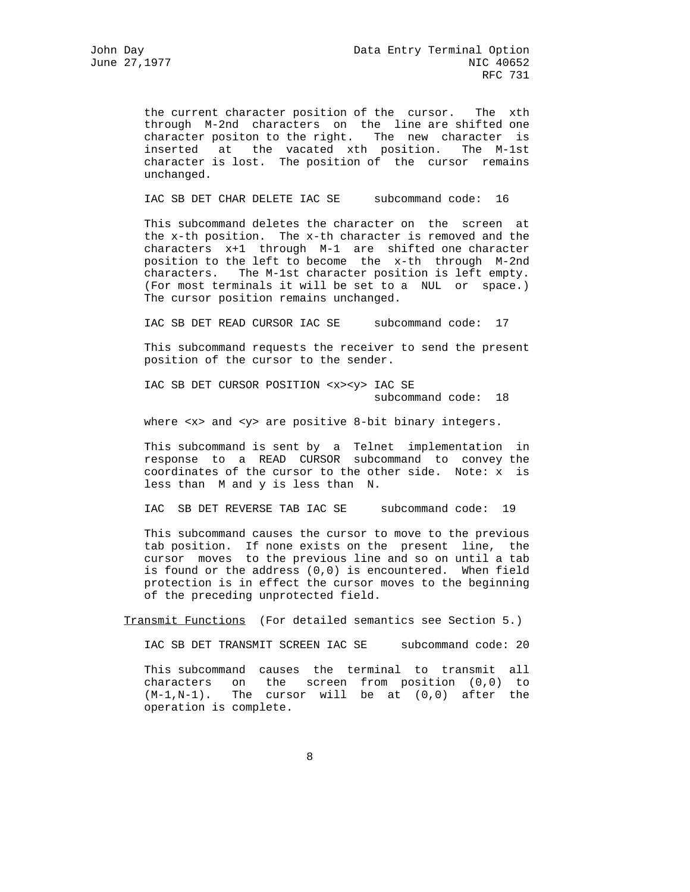the current character position of the cursor. The xth through M-2nd characters on the line are shifted one character positon to the right. The new character is inserted at the vacated xth position. The M-1st character is lost. The position of the cursor remains unchanged.

IAC SB DET CHAR DELETE IAC SE subcommand code: 16

 This subcommand deletes the character on the screen at the x-th position. The x-th character is removed and the characters x+1 through M-1 are shifted one character position to the left to become the x-th through M-2nd characters. The M-1st character position is left empty. (For most terminals it will be set to a NUL or space.) The cursor position remains unchanged.

IAC SB DET READ CURSOR IAC SE subcommand code: 17

 This subcommand requests the receiver to send the present position of the cursor to the sender.

 IAC SB DET CURSOR POSITION <x><y> IAC SE subcommand code: 18

where <x> and <y> are positive 8-bit binary integers.

 This subcommand is sent by a Telnet implementation in response to a READ CURSOR subcommand to convey the coordinates of the cursor to the other side. Note: x is less than M and y is less than N.

IAC SB DET REVERSE TAB IAC SE subcommand code: 19

 This subcommand causes the cursor to move to the previous tab position. If none exists on the present line, the cursor moves to the previous line and so on until a tab is found or the address (0,0) is encountered. When field protection is in effect the cursor moves to the beginning of the preceding unprotected field.

Transmit Functions (For detailed semantics see Section 5.)

IAC SB DET TRANSMIT SCREEN IAC SE subcommand code: 20

 This subcommand causes the terminal to transmit all characters on the screen from position (0,0) to (M-1,N-1). The cursor will be at (0,0) after the operation is complete.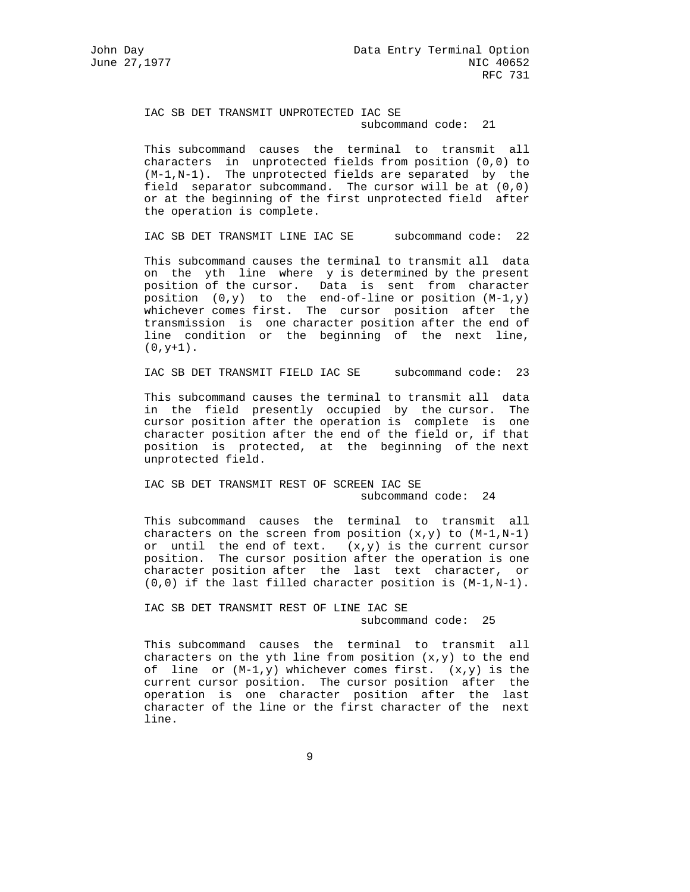IAC SB DET TRANSMIT UNPROTECTED IAC SE subcommand code: 21

 This subcommand causes the terminal to transmit all characters in unprotected fields from position (0,0) to (M-1,N-1). The unprotected fields are separated by the field separator subcommand. The cursor will be at (0,0) or at the beginning of the first unprotected field after the operation is complete.

IAC SB DET TRANSMIT LINE IAC SE subcommand code: 22

 This subcommand causes the terminal to transmit all data on the yth line where y is determined by the present position of the cursor. Data is sent from character position  $(0,y)$  to the end-of-line or position  $(M-1,y)$  whichever comes first. The cursor position after the transmission is one character position after the end of line condition or the beginning of the next line,  $(0, y+1)$ .

IAC SB DET TRANSMIT FIELD IAC SE subcommand code: 23

 This subcommand causes the terminal to transmit all data in the field presently occupied by the cursor. The cursor position after the operation is complete is one character position after the end of the field or, if that position is protected, at the beginning of the next unprotected field.

 IAC SB DET TRANSMIT REST OF SCREEN IAC SE subcommand code: 24

 This subcommand causes the terminal to transmit all characters on the screen from position  $(x,y)$  to  $(M-1,N-1)$  or until the end of text. (x,y) is the current cursor position. The cursor position after the operation is one character position after the last text character, or (0,0) if the last filled character position is (M-1,N-1).

> IAC SB DET TRANSMIT REST OF LINE IAC SE subcommand code: 25

 This subcommand causes the terminal to transmit all characters on the yth line from position  $(x,y)$  to the end of line or  $(M-1,y)$  whichever comes first.  $(x,y)$  is the current cursor position. The cursor position after the operation is one character position after the last character of the line or the first character of the next line.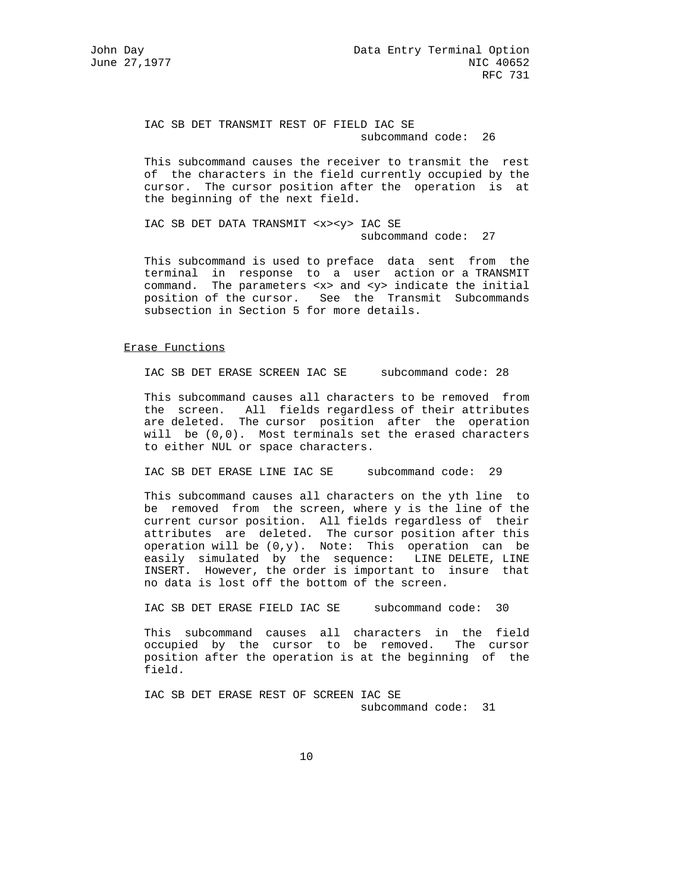IAC SB DET TRANSMIT REST OF FIELD IAC SE subcommand code: 26

 This subcommand causes the receiver to transmit the rest of the characters in the field currently occupied by the cursor. The cursor position after the operation is at the beginning of the next field.

 IAC SB DET DATA TRANSMIT <x><y> IAC SE subcommand code: 27

 This subcommand is used to preface data sent from the terminal in response to a user action or a TRANSMIT command. The parameters <x> and <y> indicate the initial position of the cursor. See the Transmit Subcommands subsection in Section 5 for more details.

#### Erase Functions

IAC SB DET ERASE SCREEN IAC SE subcommand code: 28

 This subcommand causes all characters to be removed from the screen. All fields regardless of their attributes are deleted. The cursor position after the operation will be  $(0,0)$ . Most terminals set the erased characters to either NUL or space characters.

IAC SB DET ERASE LINE IAC SE subcommand code: 29

 This subcommand causes all characters on the yth line to be removed from the screen, where y is the line of the current cursor position. All fields regardless of their attributes are deleted. The cursor position after this operation will be (0,y). Note: This operation can be easily simulated by the sequence: LINE DELETE, LINE INSERT. However, the order is important to insure that no data is lost off the bottom of the screen.

IAC SB DET ERASE FIELD IAC SE subcommand code: 30

 This subcommand causes all characters in the field occupied by the cursor to be removed. The cursor position after the operation is at the beginning of the field.

 IAC SB DET ERASE REST OF SCREEN IAC SE subcommand code: 31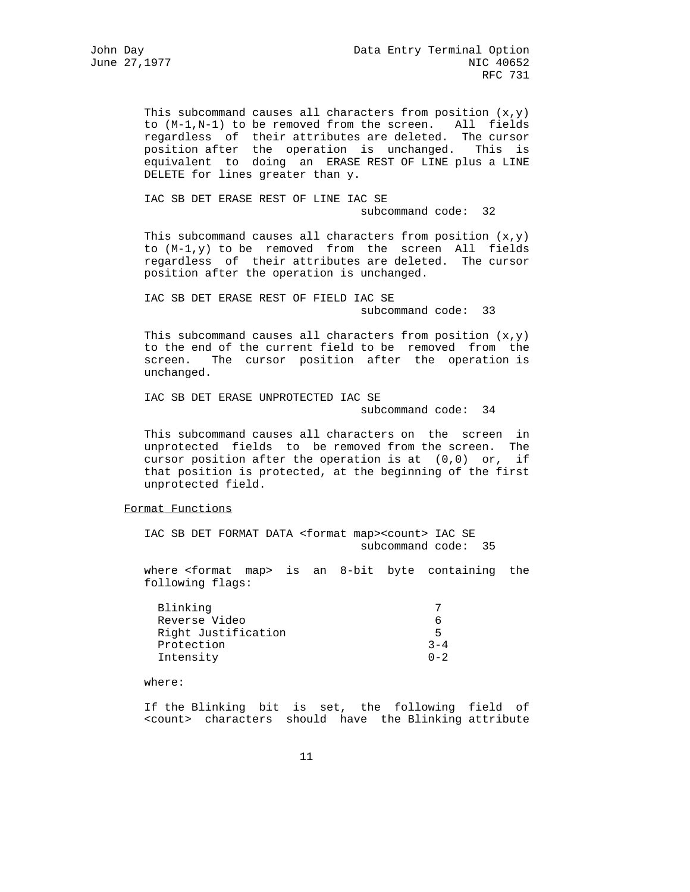This subcommand causes all characters from position  $(x,y)$  to (M-1,N-1) to be removed from the screen. All fields regardless of their attributes are deleted. The cursor position after the operation is unchanged. This is equivalent to doing an ERASE REST OF LINE plus a LINE DELETE for lines greater than y.

> IAC SB DET ERASE REST OF LINE IAC SE subcommand code: 32

This subcommand causes all characters from position  $(x,y)$  to (M-1,y) to be removed from the screen All fields regardless of their attributes are deleted. The cursor position after the operation is unchanged.

 IAC SB DET ERASE REST OF FIELD IAC SE subcommand code: 33

This subcommand causes all characters from position  $(x,y)$  to the end of the current field to be removed from the screen. The cursor position after the operation is unchanged.

 IAC SB DET ERASE UNPROTECTED IAC SE subcommand code: 34

 This subcommand causes all characters on the screen in unprotected fields to be removed from the screen. The cursor position after the operation is at (0,0) or, if that position is protected, at the beginning of the first unprotected field.

### Format Functions

 IAC SB DET FORMAT DATA <format map><count> IAC SE subcommand code: 35

 where <format map> is an 8-bit byte containing the following flags:

| Blinking            |         |
|---------------------|---------|
| Reverse Video       |         |
| Right Justification | ᄃ       |
| Protection          | $3 - 4$ |
| Intensity           | $0 - 2$ |

where:

 If the Blinking bit is set, the following field of <count> characters should have the Blinking attribute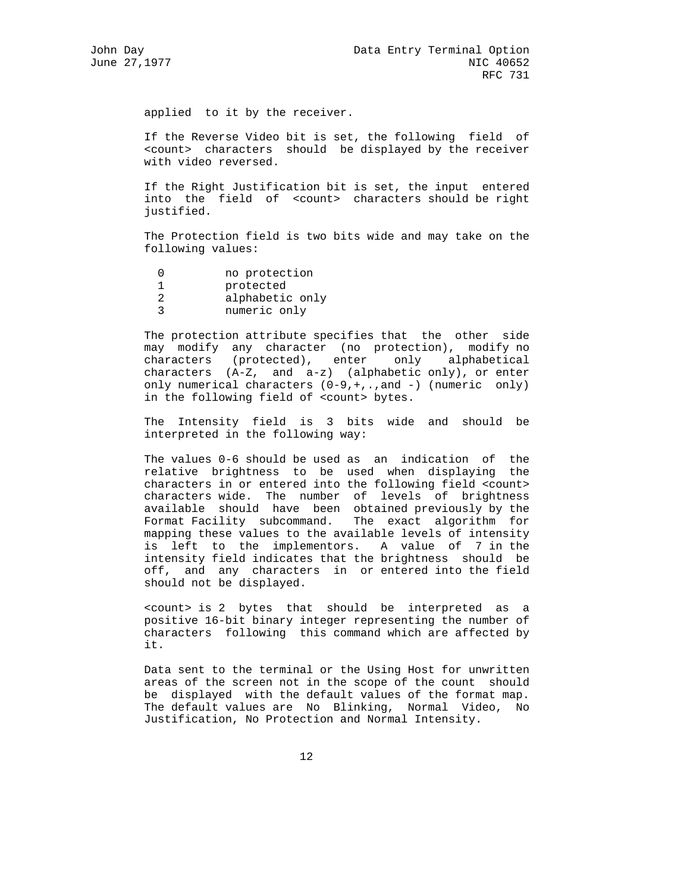applied to it by the receiver.

 If the Reverse Video bit is set, the following field of <count> characters should be displayed by the receiver with video reversed.

 If the Right Justification bit is set, the input entered into the field of <count> characters should be right justified.

 The Protection field is two bits wide and may take on the following values:

- 0 no protection
- 1 protected
- 2 alphabetic only
- 3 numeric only

 The protection attribute specifies that the other side may modify any character (no protection), modify no characters (protected), enter only alphabetical characters (A-Z, and a-z) (alphabetic only), or enter only numerical characters (0-9,+,.,and -) (numeric only) in the following field of <count> bytes.

 The Intensity field is 3 bits wide and should be interpreted in the following way:

 The values 0-6 should be used as an indication of the relative brightness to be used when displaying the characters in or entered into the following field <count> characters wide. The number of levels of brightness available should have been obtained previously by the Format Facility subcommand. The exact algorithm for mapping these values to the available levels of intensity is left to the implementors. A value of 7 in the intensity field indicates that the brightness should be off, and any characters in or entered into the field should not be displayed.

 <count> is 2 bytes that should be interpreted as a positive 16-bit binary integer representing the number of characters following this command which are affected by it.

 Data sent to the terminal or the Using Host for unwritten areas of the screen not in the scope of the count should be displayed with the default values of the format map. The default values are No Blinking, Normal Video, No Justification, No Protection and Normal Intensity.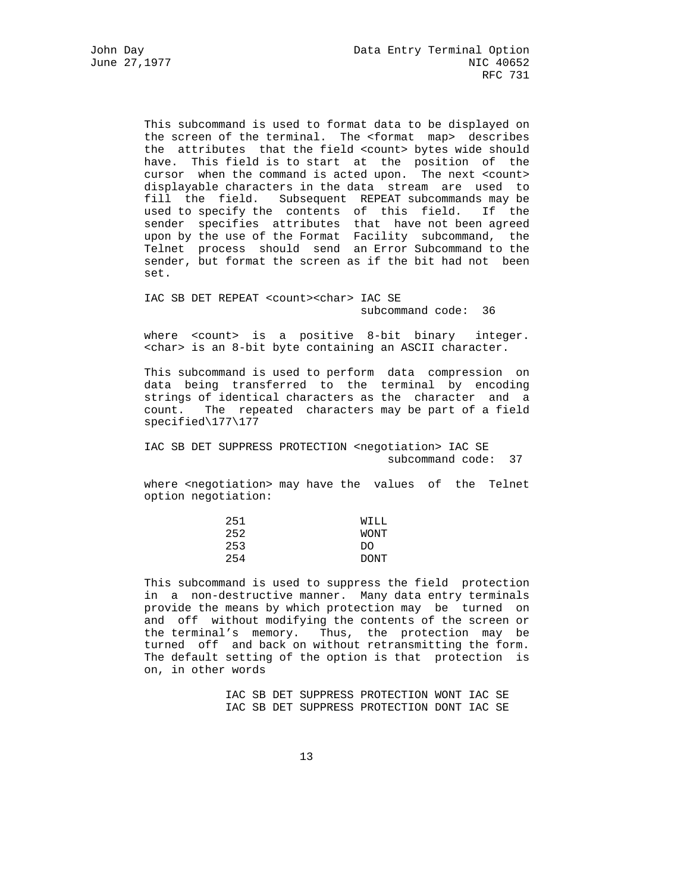This subcommand is used to format data to be displayed on the screen of the terminal. The <format map> describes the attributes that the field <count> bytes wide should have. This field is to start at the position of the cursor when the command is acted upon. The next <count> displayable characters in the data stream are used to fill the field. Subsequent REPEAT subcommands may be used to specify the contents of this field. If the sender specifies attributes that have not been agreed upon by the use of the Format Facility subcommand, the Telnet process should send an Error Subcommand to the sender, but format the screen as if the bit had not been set.

 IAC SB DET REPEAT <count><char> IAC SE subcommand code: 36

where <count> is a positive 8-bit binary integer. <char> is an 8-bit byte containing an ASCII character.

 This subcommand is used to perform data compression on data being transferred to the terminal by encoding strings of identical characters as the character and a count. The repeated characters may be part of a field specified\177\177

 IAC SB DET SUPPRESS PROTECTION <negotiation> IAC SE subcommand code: 37

 where <negotiation> may have the values of the Telnet option negotiation:

| 251 | WILL        |
|-----|-------------|
| 252 | WONT        |
| 253 | DO          |
| 254 | <b>DONT</b> |

 This subcommand is used to suppress the field protection in a non-destructive manner. Many data entry terminals provide the means by which protection may be turned on and off without modifying the contents of the screen or the terminal's memory. Thus, the protection may be turned off and back on without retransmitting the form. The default setting of the option is that protection is on, in other words

> IAC SB DET SUPPRESS PROTECTION WONT IAC SE IAC SB DET SUPPRESS PROTECTION DONT IAC SE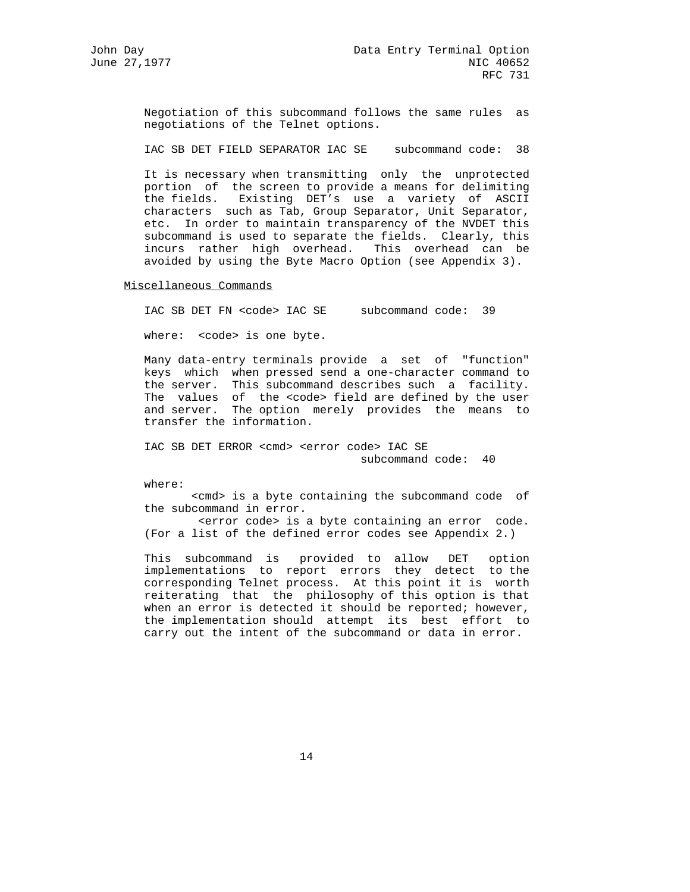Negotiation of this subcommand follows the same rules as negotiations of the Telnet options.

IAC SB DET FIELD SEPARATOR IAC SE subcommand code: 38

 It is necessary when transmitting only the unprotected portion of the screen to provide a means for delimiting the fields. Existing DET's use a variety of ASCII characters such as Tab, Group Separator, Unit Separator, etc. In order to maintain transparency of the NVDET this subcommand is used to separate the fields. Clearly, this incurs rather high overhead. This overhead can be avoided by using the Byte Macro Option (see Appendix 3).

Miscellaneous Commands

IAC SB DET FN <code> IAC SE subcommand code: 39</sup>

where: < code> is one byte.

 Many data-entry terminals provide a set of "function" keys which when pressed send a one-character command to the server. This subcommand describes such a facility. The values of the <code> field are defined by the user and server. The option merely provides the means to transfer the information.

> IAC SB DET ERROR <cmd> <error code> IAC SE subcommand code: 40

where:

 <cmd> is a byte containing the subcommand code of the subcommand in error.

 <error code> is a byte containing an error code. (For a list of the defined error codes see Appendix 2.)

 This subcommand is provided to allow DET option implementations to report errors they detect to the corresponding Telnet process. At this point it is worth reiterating that the philosophy of this option is that when an error is detected it should be reported; however, the implementation should attempt its best effort to carry out the intent of the subcommand or data in error.

14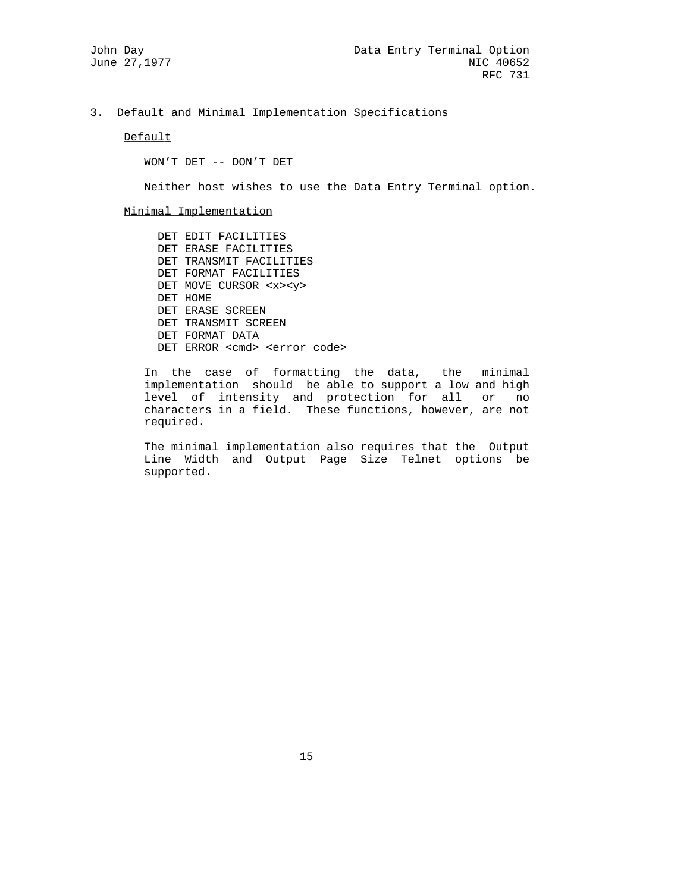3. Default and Minimal Implementation Specifications

Default

WON'T DET -- DON'T DET

Neither host wishes to use the Data Entry Terminal option.

Minimal Implementation

 DET EDIT FACILITIES DET ERASE FACILITIES DET TRANSMIT FACILITIES DET FORMAT FACILITIES DET MOVE CURSOR <x><y> DET HOME DET ERASE SCREEN DET TRANSMIT SCREEN DET FORMAT DATA DET ERROR <cmd> <error code>

 In the case of formatting the data, the minimal implementation should be able to support a low and high level of intensity and protection for all or no characters in a field. These functions, however, are not required.

> The minimal implementation also requires that the Output Line Width and Output Page Size Telnet options be supported.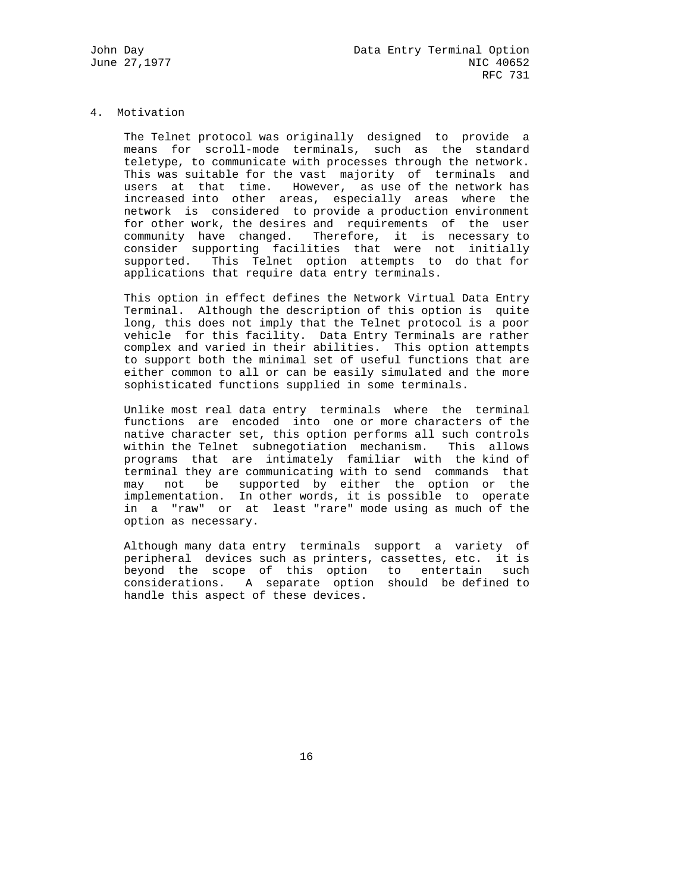# 4. Motivation

 The Telnet protocol was originally designed to provide a means for scroll-mode terminals, such as the standard teletype, to communicate with processes through the network. This was suitable for the vast majority of terminals and users at that time. However, as use of the network has increased into other areas, especially areas where the network is considered to provide a production environment for other work, the desires and requirements of the user community have changed. Therefore, it is necessary to consider supporting facilities that were not initially supported. This Telnet option attempts to do that for applications that require data entry terminals.

 This option in effect defines the Network Virtual Data Entry Terminal. Although the description of this option is quite long, this does not imply that the Telnet protocol is a poor vehicle for this facility. Data Entry Terminals are rather complex and varied in their abilities. This option attempts to support both the minimal set of useful functions that are either common to all or can be easily simulated and the more sophisticated functions supplied in some terminals.

 Unlike most real data entry terminals where the terminal functions are encoded into one or more characters of the native character set, this option performs all such controls within the Telnet subnegotiation mechanism. This allows programs that are intimately familiar with the kind of terminal they are communicating with to send commands that may not be supported by either the option or the implementation. In other words, it is possible to operate in a "raw" or at least "rare" mode using as much of the option as necessary.

 Although many data entry terminals support a variety of peripheral devices such as printers, cassettes, etc. it is beyond the scope of this option to entertain such considerations. A separate option should be defined to handle this aspect of these devices.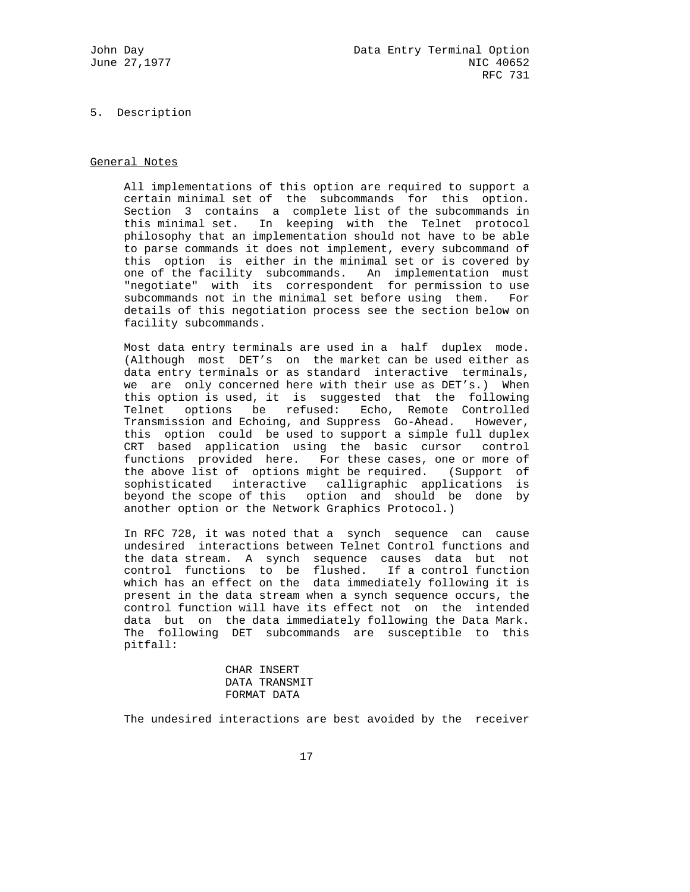### 5. Description

### General Notes

 All implementations of this option are required to support a certain minimal set of the subcommands for this option. Section 3 contains a complete list of the subcommands in this minimal set. In keeping with the Telnet protocol philosophy that an implementation should not have to be able to parse commands it does not implement, every subcommand of this option is either in the minimal set or is covered by one of the facility subcommands. An implementation must "negotiate" with its correspondent for permission to use subcommands not in the minimal set before using them. For details of this negotiation process see the section below on facility subcommands.

 Most data entry terminals are used in a half duplex mode. (Although most DET's on the market can be used either as data entry terminals or as standard interactive terminals, we are only concerned here with their use as DET's.) When this option is used, it is suggested that the following Telnet options be refused: Echo, Remote Controlled Transmission and Echoing, and Suppress Go-Ahead. However, this option could be used to support a simple full duplex CRT based application using the basic cursor control functions provided here. For these cases, one or more of the above list of options might be required. (Support of sophisticated interactive calligraphic applications is beyond the scope of this option and should be done by another option or the Network Graphics Protocol.)

 In RFC 728, it was noted that a synch sequence can cause undesired interactions between Telnet Control functions and the data stream. A synch sequence causes data but not control functions to be flushed. If a control function which has an effect on the data immediately following it is present in the data stream when a synch sequence occurs, the control function will have its effect not on the intended data but on the data immediately following the Data Mark. The following DET subcommands are susceptible to this pitfall:

> CHAR INSERT DATA TRANSMIT FORMAT DATA

The undesired interactions are best avoided by the receiver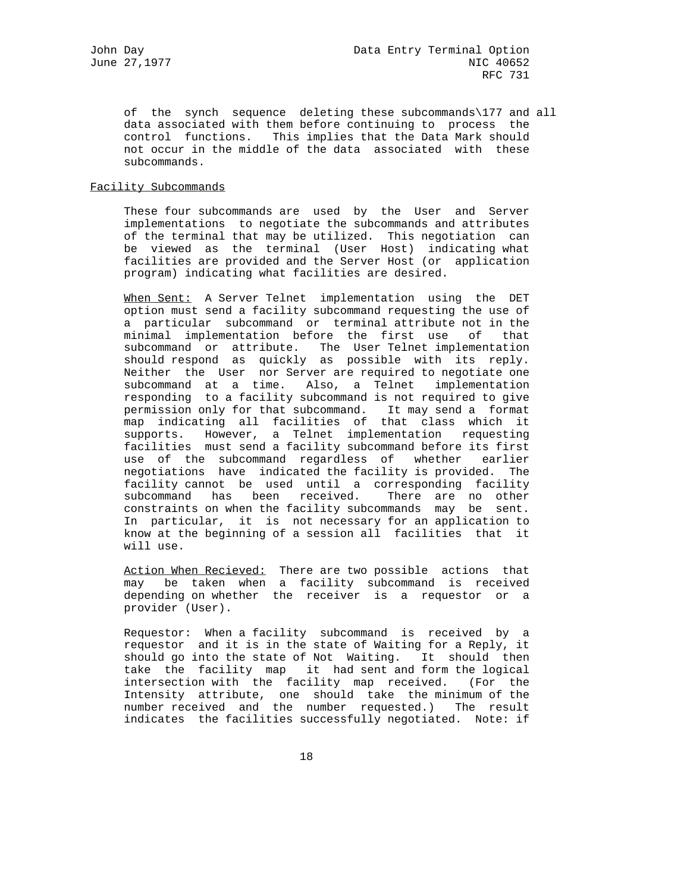of the synch sequence deleting these subcommands\177 and all data associated with them before continuing to process the control functions. This implies that the Data Mark should not occur in the middle of the data associated with these subcommands.

# Facility Subcommands

 These four subcommands are used by the User and Server implementations to negotiate the subcommands and attributes of the terminal that may be utilized. This negotiation can be viewed as the terminal (User Host) indicating what facilities are provided and the Server Host (or application program) indicating what facilities are desired.

When Sent: A Server Telnet implementation using the DET option must send a facility subcommand requesting the use of a particular subcommand or terminal attribute not in the minimal implementation before the first use of that subcommand or attribute. The User Telnet implementation should respond as quickly as possible with its reply. Neither the User nor Server are required to negotiate one subcommand at a time. Also, a Telnet implementation responding to a facility subcommand is not required to give permission only for that subcommand. It may send a format map indicating all facilities of that class which it supports. However, a Telnet implementation requesting facilities must send a facility subcommand before its first use of the subcommand regardless of whether earlier negotiations have indicated the facility is provided. The facility cannot be used until a corresponding facility subcommand has been received. There are no other constraints on when the facility subcommands may be sent. In particular, it is not necessary for an application to know at the beginning of a session all facilities that it will use.

Action When Recieved: There are two possible actions that may be taken when a facility subcommand is received depending on whether the receiver is a requestor or a provider (User).

 Requestor: When a facility subcommand is received by a requestor and it is in the state of Waiting for a Reply, it should go into the state of Not Waiting. It should then take the facility map it had sent and form the logical intersection with the facility map received. (For the Intensity attribute, one should take the minimum of the number received and the number requested.) The result indicates the facilities successfully negotiated. Note: if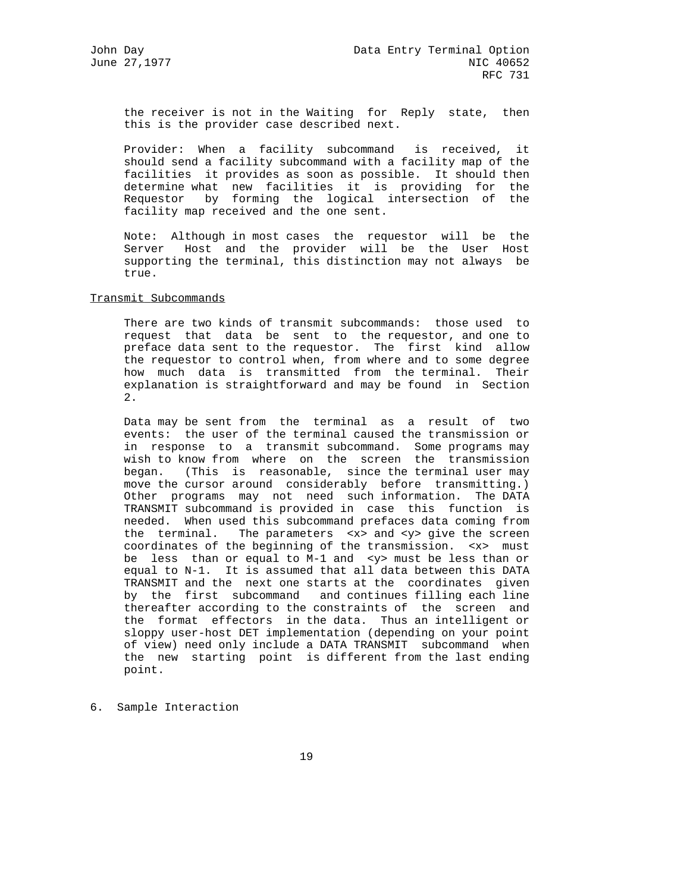the receiver is not in the Waiting for Reply state, then this is the provider case described next.

 Provider: When a facility subcommand is received, it should send a facility subcommand with a facility map of the facilities it provides as soon as possible. It should then determine what new facilities it is providing for the Requestor by forming the logical intersection of the facility map received and the one sent.

 Note: Although in most cases the requestor will be the Server Host and the provider will be the User Host supporting the terminal, this distinction may not always be true.

# Transmit Subcommands

 There are two kinds of transmit subcommands: those used to request that data be sent to the requestor, and one to preface data sent to the requestor. The first kind allow the requestor to control when, from where and to some degree how much data is transmitted from the terminal. Their explanation is straightforward and may be found in Section 2.

 Data may be sent from the terminal as a result of two events: the user of the terminal caused the transmission or in response to a transmit subcommand. Some programs may wish to know from where on the screen the transmission began. (This is reasonable, since the terminal user may move the cursor around considerably before transmitting.) Other programs may not need such information. The DATA TRANSMIT subcommand is provided in case this function is needed. When used this subcommand prefaces data coming from the terminal. The parameters <x> and <y> give the screen coordinates of the beginning of the transmission. <x> must be less than or equal to M-1 and <y> must be less than or equal to N-1. It is assumed that all data between this DATA TRANSMIT and the next one starts at the coordinates given by the first subcommand and continues filling each line thereafter according to the constraints of the screen and the format effectors in the data. Thus an intelligent or sloppy user-host DET implementation (depending on your point of view) need only include a DATA TRANSMIT subcommand when the new starting point is different from the last ending point.

6. Sample Interaction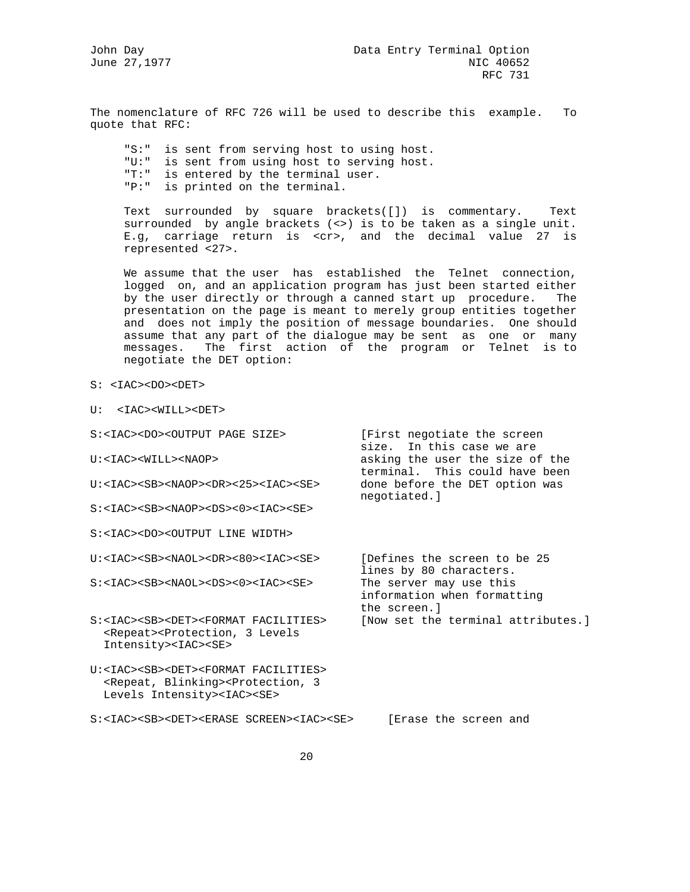June 27,1977

The nomenclature of RFC 726 will be used to describe this example. To quote that RFC:

 "S:" is sent from serving host to using host. "U:" is sent from using host to serving host. "T:" is entered by the terminal user. "P:" is printed on the terminal.

 Text surrounded by square brackets([]) is commentary. Text surrounded by angle brackets (<>) is to be taken as a single unit. E.g, carriage return is <cr>, and the decimal value 27 is represented <27>.

 We assume that the user has established the Telnet connection, logged on, and an application program has just been started either by the user directly or through a canned start up procedure. The presentation on the page is meant to merely group entities together and does not imply the position of message boundaries. One should assume that any part of the dialogue may be sent as one or many messages. The first action of the program or Telnet is to negotiate the DET option:

- S: <IAC><DO><DET>
- U: <IAC><WILL><DET>

| S: <iac><do><output page="" size=""></output></do></iac>                                                                                                                         | [First negotiate the screen<br>size. In this case we are               |
|----------------------------------------------------------------------------------------------------------------------------------------------------------------------------------|------------------------------------------------------------------------|
| U: <iac><will><naop></naop></will></iac>                                                                                                                                         | asking the user the size of the<br>terminal. This could have been      |
| U: <iac><sb><naop><dr>&lt;25&gt;<iac><se></se></iac></dr></naop></sb></iac>                                                                                                      | done before the DET option was<br>negotiated.]                         |
| $S: <0>$                                                                                                                                                                         |                                                                        |
| S: <iac><do><output line="" width=""></output></do></iac>                                                                                                                        |                                                                        |
| U: <iac><sb><naol><dr>&lt;80&gt;<iac><se></se></iac></dr></naol></sb></iac>                                                                                                      | Defines the screen to be 25<br>lines by 80 characters.                 |
| S: <iac><sb><naol><ds>&lt;0&gt;<iac><se></se></iac></ds></naol></sb></iac>                                                                                                       | The server may use this<br>information when formatting<br>the screen.] |
| S: <iac><sb><det><format facilities=""><br/><repeat><protection, 3="" levels<br="">Intensity&gt;<iac><se></se></iac></protection,></repeat></format></det></sb></iac>            | [Now set the terminal attributes.]                                     |
| U: <iac><sb><det><format facilities=""><br/><repeat, blinking=""><protection, 3<br="">Levels Intensity&gt;<iac><se></se></iac></protection,></repeat,></format></det></sb></iac> |                                                                        |
| S: <iac><sb><det><erase screen=""><iac><se></se></iac></erase></det></sb></iac>                                                                                                  | [Erase the screen and                                                  |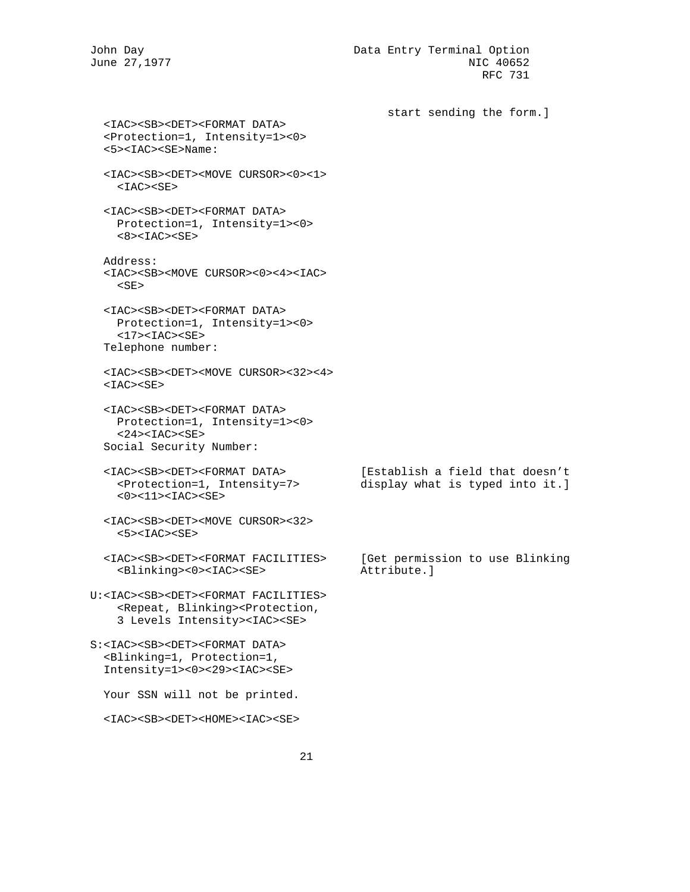John Day Data Entry Terminal Option June 27,1977 NIC 40652 RFC 731

 start sending the form.] <IAC><SB><DET><FORMAT DATA> <Protection=1, Intensity=1><0> <5><IAC><SE>Name: <IAC><SB><DET><MOVE CURSOR><0><1>  $<$ IAC $>$  $<$ SE $>$  <IAC><SB><DET><FORMAT DATA> Protection=1, Intensity=1><0>  $<8$ > $<$ IAC> $<$ SE> Address: <IAC><SB><MOVE CURSOR><0><4><IAC>  $<$ SE $>$  <IAC><SB><DET><FORMAT DATA> Protection=1, Intensity=1><0>  $<$ 17> $<$ IAC> $<$ SE> Telephone number: <IAC><SB><DET><MOVE CURSOR><32><4>  $<$ IAC> $<$ SE> <IAC><SB><DET><FORMAT DATA> Protection=1, Intensity=1><0>  $<$ 24> $<$ IAC> $<$ SE> Social Security Number: <IAC><SB><DET><FORMAT DATA> [Establish a field that doesn't <Protection=1, Intensity=7> display what is typed into it.]  $<0$ >< $11$ ><IAC><SE> <IAC><SB><DET><MOVE CURSOR><32>  $<$ 5> $<$ IAC> $<$ SE> <IAC><SB><DET><FORMAT FACILITIES> [Get permission to use Blinking <Blinking><0><IAC><SE> Attribute.] U:<IAC><SB><DET><FORMAT FACILITIES> <Repeat, Blinking><Protection, 3 Levels Intensity><IAC><SE> S:<IAC><SB><DET><FORMAT DATA> <Blinking=1, Protection=1, Intensity=1><0><29><IAC><SE> Your SSN will not be printed. <IAC><SB><DET><HOME><IAC><SE>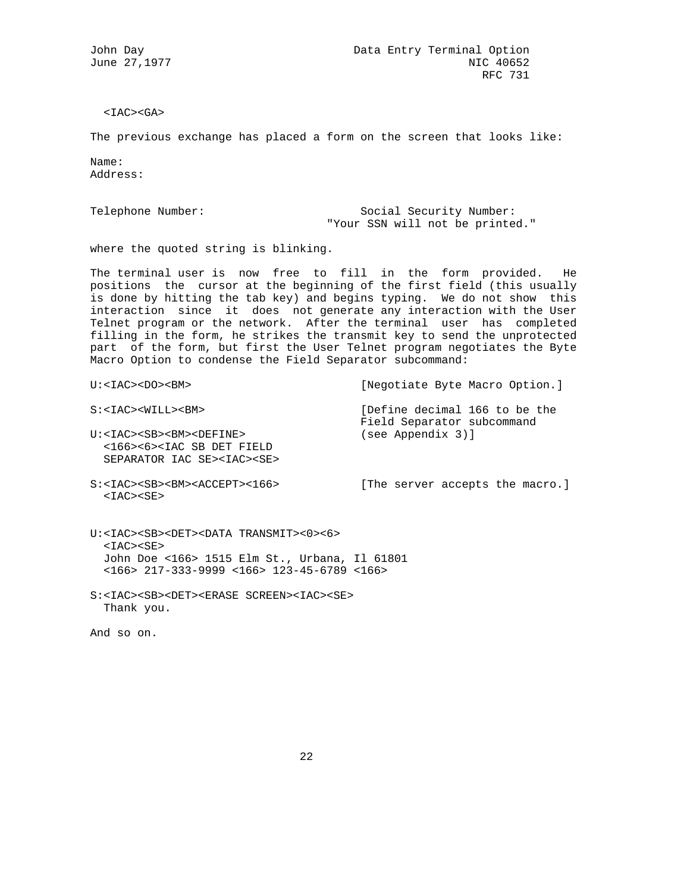$<$ IAC> $<$ GA>

The previous exchange has placed a form on the screen that looks like:

Name: Address:

Telephone Number: Social Security Number: "Your SSN will not be printed."

where the quoted string is blinking.

The terminal user is now free to fill in the form provided. He positions the cursor at the beginning of the first field (this usually is done by hitting the tab key) and begins typing. We do not show this interaction since it does not generate any interaction with the User Telnet program or the network. After the terminal user has completed filling in the form, he strikes the transmit key to send the unprotected part of the form, but first the User Telnet program negotiates the Byte Macro Option to condense the Field Separator subcommand:

| U: <iac><do><b>M&gt;</b></do></iac>                                                                                                                                                                                                             | [Negotiate Byte Macro Option.]                              |
|-------------------------------------------------------------------------------------------------------------------------------------------------------------------------------------------------------------------------------------------------|-------------------------------------------------------------|
| S: <iac><will><bm></bm></will></iac>                                                                                                                                                                                                            | [Define decimal 166 to be the<br>Field Separator subcommand |
| U: <iac><sb><bm><define><br/>&lt;166&gt;&lt;6&gt;<iac det="" field<br="" sb="">SEPARATOR IAC SE&gt;<iac><se></se></iac></iac></define></bm></sb></iac>                                                                                          | (see Appendix 3)]                                           |
| $S: M><166>$<br>$<$ IAC> $<$ SE>                                                                                                                                                                                                                | [The server accepts the macro.]                             |
| $U:\langle IAC \rangle \langle SB \rangle \langle DET \rangle \langle DATA$ TRANSMIT> $\langle 0 \rangle \langle 6 \rangle$<br>$<$ IAC> $<$ SE><br>John Doe <166> 1515 Elm St., Urbana, Il 61801<br>$166>$ 217-333-9999 <166> 123-45-6789 <166> |                                                             |
| S: <iac><sb><det><erase screen=""><iac><se><br/>Thank you.</se></iac></erase></det></sb></iac>                                                                                                                                                  |                                                             |

And so on.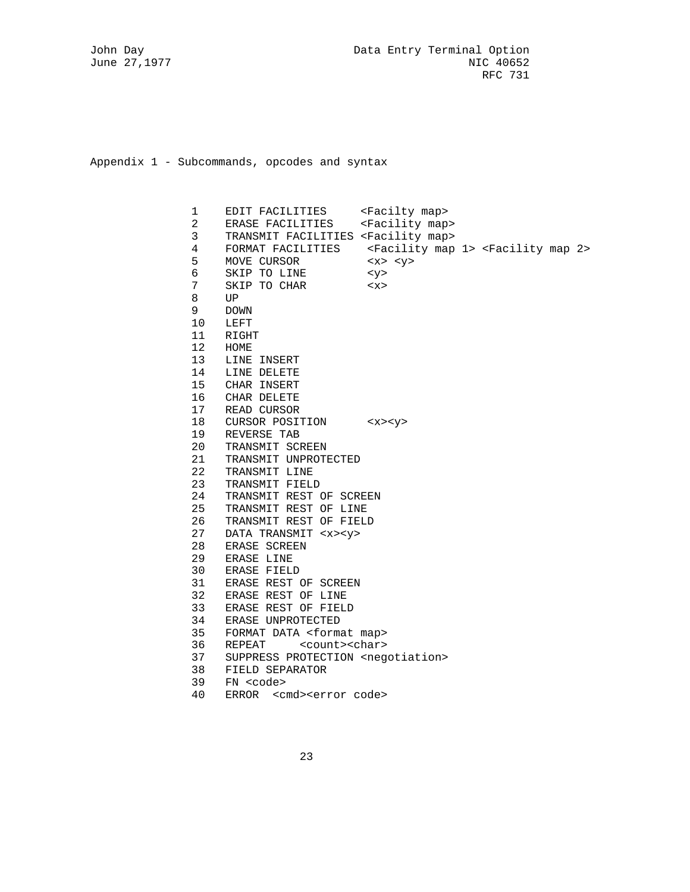Appendix 1 - Subcommands, opcodes and syntax

 1 EDIT FACILITIES <Facilty map> 2 ERASE FACILITIES <Facility map> 3 TRANSMIT FACILITIES <Facility map> 4 FORMAT FACILITIES <Facility map 1> <Facility map 2> 5 MOVE CURSOR <x> <y> 6 SKIP TO LINE <y> 7 SKIP TO CHAR <x><br>8 UP 8 UP<br>9 DOI 9 DOWN 10 LEFT 11 RIGHT 12 HOME 13 LINE INSERT 14 LINE DELETE 15 CHAR INSERT 16 CHAR DELETE 17 READ CURSOR 18 CURSOR POSITION <x><y> 19 REVERSE TAB 20 TRANSMIT SCREEN 21 TRANSMIT UNPROTECTED 22 TRANSMIT LINE 23 TRANSMIT FIELD 24 TRANSMIT REST OF SCREEN 25 TRANSMIT REST OF LINE 26 TRANSMIT REST OF FIELD 27 DATA TRANSMIT <x><y> 28 ERASE SCREEN 29 ERASE LINE 30 ERASE FIELD 31 ERASE REST OF SCREEN 32 ERASE REST OF LINE 33 ERASE REST OF FIELD 34 ERASE UNPROTECTED 35 FORMAT DATA <format map> 36 REPEAT <count><char> 37 SUPPRESS PROTECTION <negotiation> 38 FIELD SEPARATOR 39 FN <code></code> 40 ERROR <cmd><error code>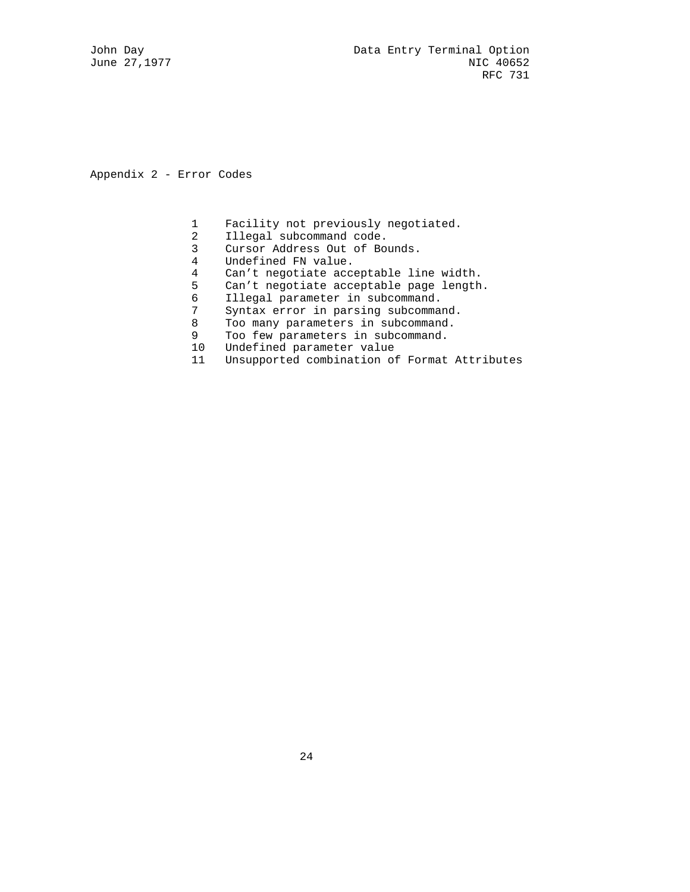Appendix 2 - Error Codes

- 1 Facility not previously negotiated.<br>2 Illegal subcommand code.
- 2 Illegal subcommand code.<br>3 Cursor Address Out of Bo
- Cursor Address Out of Bounds.
- 4 Undefined FN value.
- 4 Can't negotiate acceptable line width.
- 5 Can't negotiate acceptable page length.<br>6 Illegal parameter in subcommand.
- 6 Illegal parameter in subcommand.
- 7 Syntax error in parsing subcommand.<br>8 Too many parameters in subcommand.
- Too many parameters in subcommand.
- 9 Too few parameters in subcommand.
- 10 Undefined parameter value
- 11 Unsupported combination of Format Attributes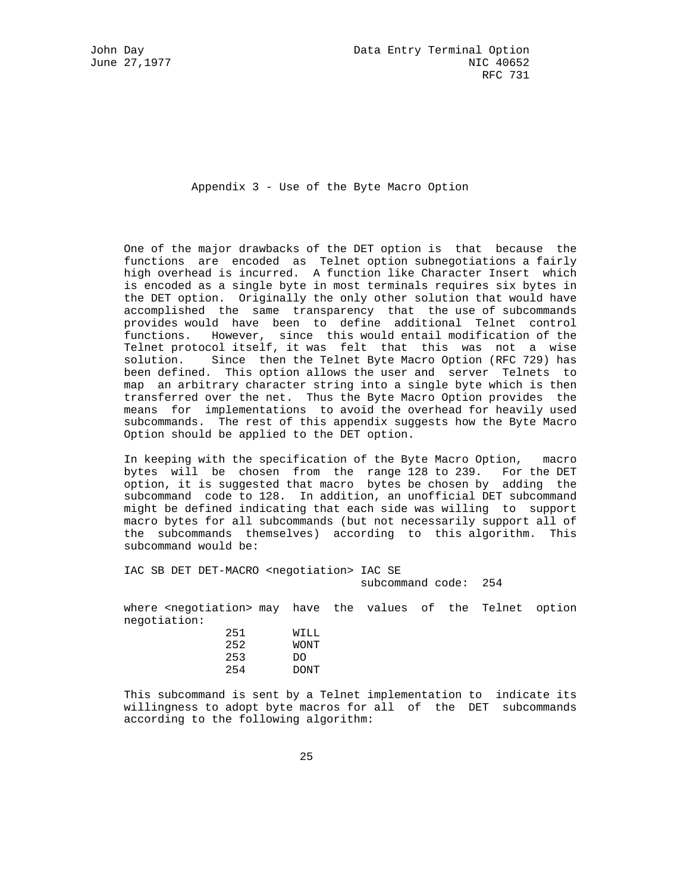Appendix 3 - Use of the Byte Macro Option

 One of the major drawbacks of the DET option is that because the functions are encoded as Telnet option subnegotiations a fairly high overhead is incurred. A function like Character Insert which is encoded as a single byte in most terminals requires six bytes in the DET option. Originally the only other solution that would have accomplished the same transparency that the use of subcommands provides would have been to define additional Telnet control functions. However, since this would entail modification of the Telnet protocol itself, it was felt that this was not a wise solution. Since then the Telnet Byte Macro Option (RFC 729) has been defined. This option allows the user and server Telnets to map an arbitrary character string into a single byte which is then transferred over the net. Thus the Byte Macro Option provides the means for implementations to avoid the overhead for heavily used subcommands. The rest of this appendix suggests how the Byte Macro Option should be applied to the DET option.

 In keeping with the specification of the Byte Macro Option, macro bytes will be chosen from the range 128 to 239. For the DET option, it is suggested that macro bytes be chosen by adding the subcommand code to 128. In addition, an unofficial DET subcommand might be defined indicating that each side was willing to support macro bytes for all subcommands (but not necessarily support all of the subcommands themselves) according to this algorithm. This subcommand would be:

 IAC SB DET DET-MACRO <negotiation> IAC SE subcommand code: 254

 where <negotiation> may have the values of the Telnet option negotiation:

| 251 | WILL        |
|-----|-------------|
| 252 | WONT        |
| 253 | DO          |
| 254 | <b>DONT</b> |

 This subcommand is sent by a Telnet implementation to indicate its willingness to adopt byte macros for all of the DET subcommands according to the following algorithm: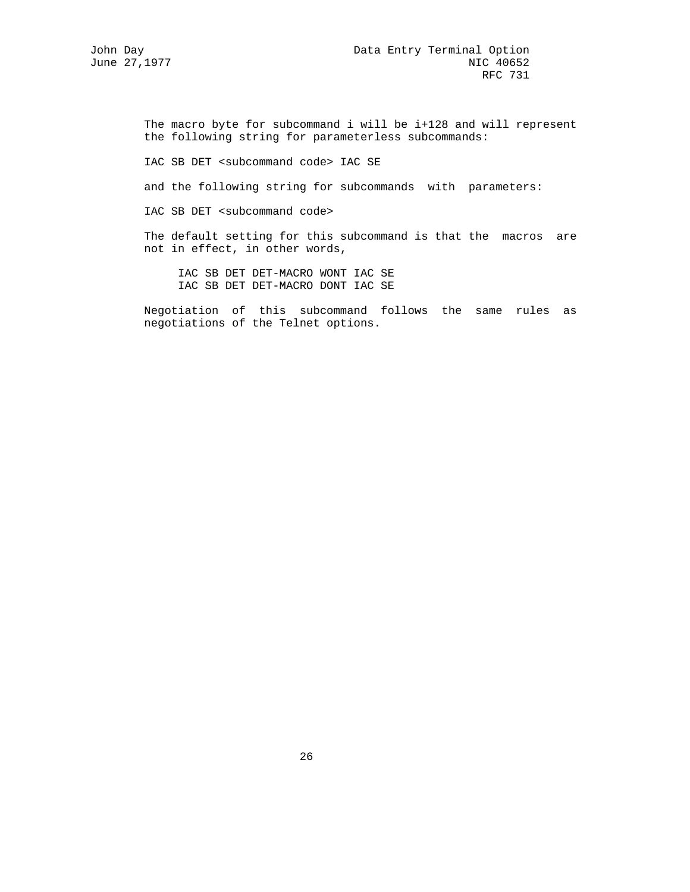The macro byte for subcommand i will be i+128 and will represent the following string for parameterless subcommands:

IAC SB DET <subcommand code> IAC SE

and the following string for subcommands with parameters:

IAC SB DET <subcommand code>

 The default setting for this subcommand is that the macros are not in effect, in other words,

 IAC SB DET DET-MACRO WONT IAC SE IAC SB DET DET-MACRO DONT IAC SE

 Negotiation of this subcommand follows the same rules as negotiations of the Telnet options.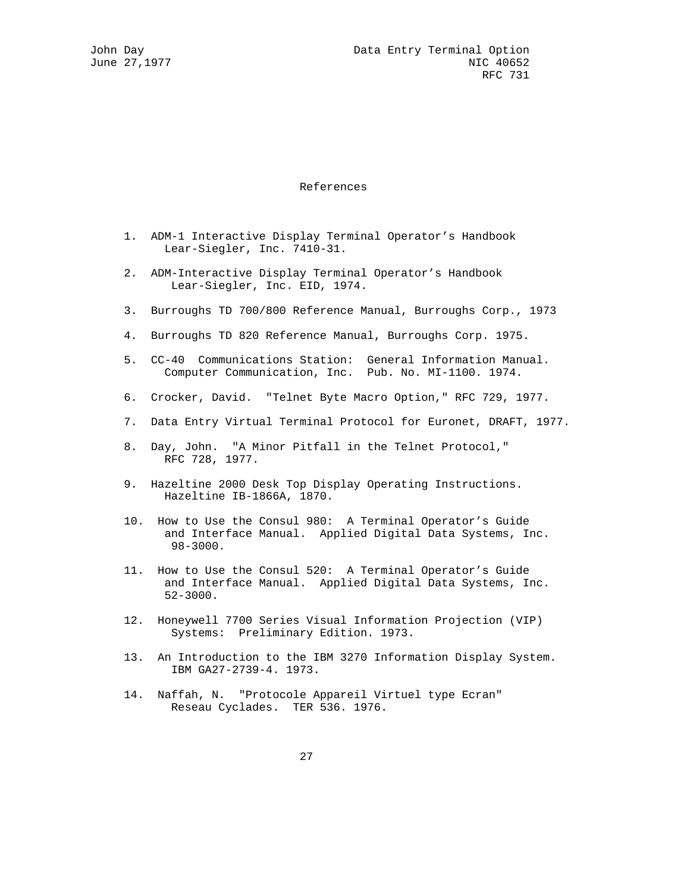#### References

- 1. ADM-1 Interactive Display Terminal Operator's Handbook Lear-Siegler, Inc. 7410-31.
- 2. ADM-Interactive Display Terminal Operator's Handbook Lear-Siegler, Inc. EID, 1974.
- 3. Burroughs TD 700/800 Reference Manual, Burroughs Corp., 1973
- 4. Burroughs TD 820 Reference Manual, Burroughs Corp. 1975.
- 5. CC-40 Communications Station: General Information Manual. Computer Communication, Inc. Pub. No. MI-1100. 1974.
- 6. Crocker, David. "Telnet Byte Macro Option," RFC 729, 1977.
- 7. Data Entry Virtual Terminal Protocol for Euronet, DRAFT, 1977.
- 8. Day, John. "A Minor Pitfall in the Telnet Protocol," RFC 728, 1977.
- 9. Hazeltine 2000 Desk Top Display Operating Instructions. Hazeltine IB-1866A, 1870.
- 10. How to Use the Consul 980: A Terminal Operator's Guide and Interface Manual. Applied Digital Data Systems, Inc. 98-3000.
- 11. How to Use the Consul 520: A Terminal Operator's Guide and Interface Manual. Applied Digital Data Systems, Inc. 52-3000.
- 12. Honeywell 7700 Series Visual Information Projection (VIP) Systems: Preliminary Edition. 1973.
- 13. An Introduction to the IBM 3270 Information Display System. IBM GA27-2739-4. 1973.
- 14. Naffah, N. "Protocole Appareil Virtuel type Ecran" Reseau Cyclades. TER 536. 1976.